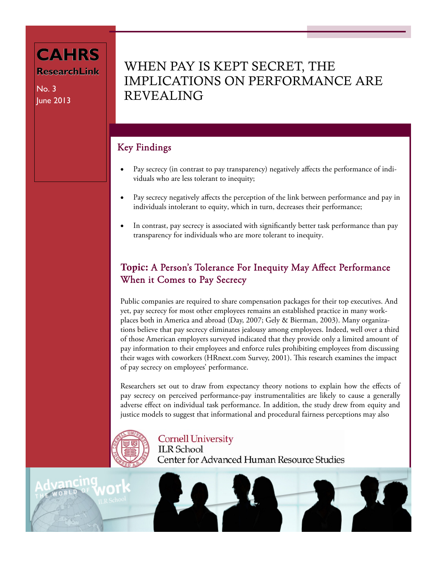### **CAHRS ResearchLink ResearchLink**

No. 3 June 2013

## WHEN PAY IS KEPT SECRET, THE IMPLICATIONS ON PERFORMANCE ARE REVEALING

### Key Findings

- Pay secrecy (in contrast to pay transparency) negatively affects the performance of individuals who are less tolerant to inequity;
- Pay secrecy negatively affects the perception of the link between performance and pay in individuals intolerant to equity, which in turn, decreases their performance;
- In contrast, pay secrecy is associated with significantly better task performance than pay transparency for individuals who are more tolerant to inequity.

### Topic: A Person's Tolerance For Inequity May Affect Performance When it Comes to Pay Secrecy

Public companies are required to share compensation packages for their top executives. And yet, pay secrecy for most other employees remains an established practice in many workplaces both in America and abroad (Day, 2007; Gely & Bierman, 2003). Many organizations believe that pay secrecy eliminates jealousy among employees. Indeed, well over a third of those American employers surveyed indicated that they provide only a limited amount of pay information to their employees and enforce rules prohibiting employees from discussing their wages with coworkers (HRnext.com Survey, 2001). This research examines the impact of pay secrecy on employees' performance.

Researchers set out to draw from expectancy theory notions to explain how the effects of pay secrecy on perceived performance-pay instrumentalities are likely to cause a generally adverse effect on individual task performance. In addition, the study drew from equity and justice models to suggest that informational and procedural fairness perceptions may also



**Cornell University** 

**ILR** School Center for Advanced Human Resource Studies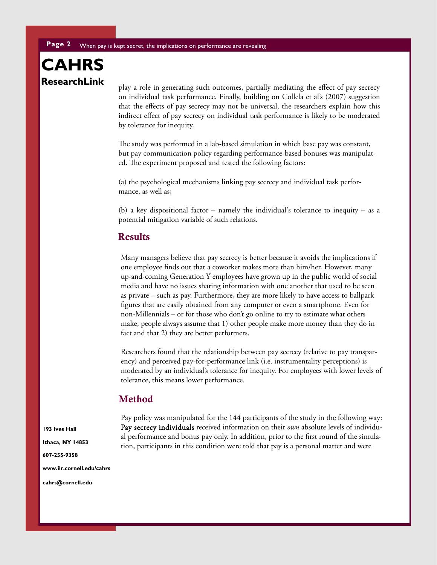## **CAHRS ResearchLink ResearchLink**

play a role in generating such outcomes, partially mediating the effect of pay secrecy on individual task performance. Finally, building on Collela et al's (2007) suggestion that the effects of pay secrecy may not be universal, the researchers explain how this indirect effect of pay secrecy on individual task performance is likely to be moderated by tolerance for inequity.

The study was performed in a lab-based simulation in which base pay was constant, but pay communication policy regarding performance-based bonuses was manipulated. The experiment proposed and tested the following factors:

(a) the psychological mechanisms linking pay secrecy and individual task performance, as well as;

(b) a key dispositional factor – namely the individual's tolerance to inequity – as a potential mitigation variable of such relations.

#### Results

Many managers believe that pay secrecy is better because it avoids the implications if one employee finds out that a coworker makes more than him/her. However, many up-and-coming Generation Y employees have grown up in the public world of social media and have no issues sharing information with one another that used to be seen as private – such as pay. Furthermore, they are more likely to have access to ballpark figures that are easily obtained from any computer or even a smartphone. Even for non-Millennials – or for those who don't go online to try to estimate what others make, people always assume that 1) other people make more money than they do in fact and that 2) they are better performers.

Researchers found that the relationship between pay secrecy (relative to pay transparency) and perceived pay-for-performance link (i.e. instrumentality perceptions) is moderated by an individual's tolerance for inequity. For employees with lower levels of tolerance, this means lower performance.

#### Method

**193 Ives Hall Ithaca, NY 14853 607-255-9358 www.ilr.cornell.edu/cahrs** 

cahrs@cornell.edu

Pay policy was manipulated for the 144 participants of the study in the following way: Pay secrecy individuals received information on their *own* absolute levels of individual performance and bonus pay only. In addition, prior to the first round of the simulation, participants in this condition were told that pay is a personal matter and were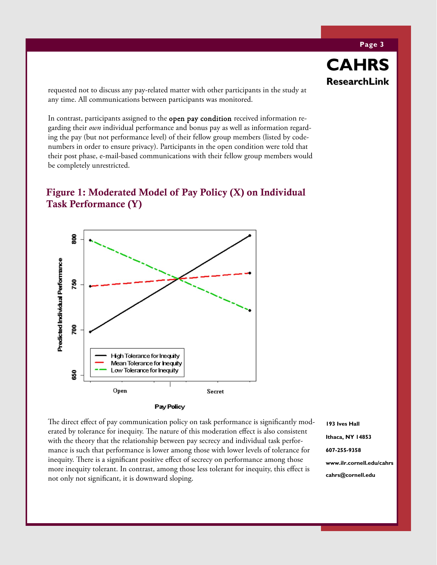requested not to discuss any pay-related matter with other participants in the study at any time. All communications between participants was monitored.

In contrast, participants assigned to the open pay condition received information regarding their *own* individual performance and bonus pay as well as information regarding the pay (but not performance level) of their fellow group members (listed by codenumbers in order to ensure privacy). Participants in the open condition were told that their post phase, e-mail-based communications with their fellow group members would be completely unrestricted.

#### Figure 1: Moderated Model of Pay Policy (X) on Individual Task Performance (Y)



Pay Policy

The direct effect of pay communication policy on task performance is significantly moderated by tolerance for inequity. The nature of this moderation effect is also consistent with the theory that the relationship between pay secrecy and individual task performance is such that performance is lower among those with lower levels of tolerance for inequity. There is a significant positive effect of secrecy on performance among those more inequity tolerant. In contrast, among those less tolerant for inequity, this effect is not only not significant, it is downward sloping.

**193 Ives Hall Ithaca, NY 14853 607-255-9358 www.ilr.cornell.edu/cahrs cahrs@cornell.edu** 

**Page 3** 

**CAHRS**

**ResearchLink ResearchLink**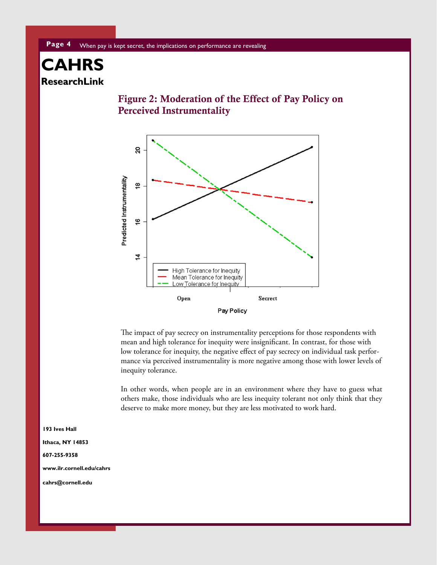## **CAHRS ResearchLink ResearchLink**





The impact of pay secrecy on instrumentality perceptions for those respondents with mean and high tolerance for inequity were insignificant. In contrast, for those with low tolerance for inequity, the negative effect of pay secrecy on individual task performance via perceived instrumentality is more negative among those with lower levels of inequity tolerance.

In other words, when people are in an environment where they have to guess what others make, those individuals who are less inequity tolerant not only think that they deserve to make more money, but they are less motivated to work hard.

**193 Ives Hall Ithaca, NY 14853 607-255-9358 www.ilr.cornell.edu/cahrs**  cahrs@cornell.edu